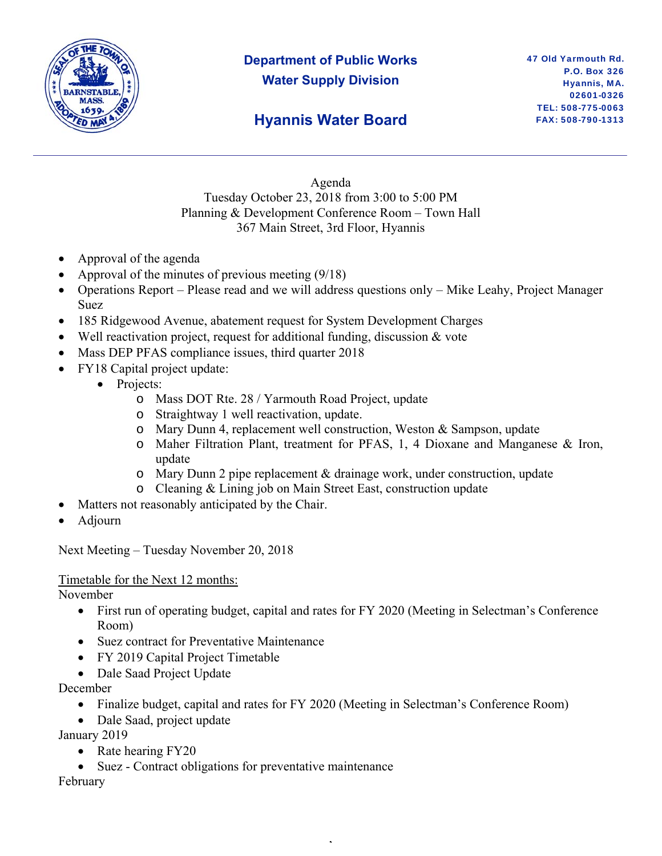

# **Department of Public Works Water Supply Division**

### **Hyannis Water Board**

Agenda Tuesday October 23, 2018 from 3:00 to 5:00 PM Planning & Development Conference Room – Town Hall 367 Main Street, 3rd Floor, Hyannis

- Approval of the agenda
- Approval of the minutes of previous meeting (9/18)
- Operations Report Please read and we will address questions only Mike Leahy, Project Manager Suez
- 185 Ridgewood Avenue, abatement request for System Development Charges
- Well reactivation project, request for additional funding, discussion & vote
- Mass DEP PFAS compliance issues, third quarter 2018
- FY18 Capital project update:
	- Projects:
		- o Mass DOT Rte. 28 / Yarmouth Road Project, update
		- o Straightway 1 well reactivation, update.
		- o Mary Dunn 4, replacement well construction, Weston & Sampson, update
		- o Maher Filtration Plant, treatment for PFAS, 1, 4 Dioxane and Manganese & Iron, update
		- o Mary Dunn 2 pipe replacement & drainage work, under construction, update
		- o Cleaning & Lining job on Main Street East, construction update
- Matters not reasonably anticipated by the Chair.
- Adjourn

Next Meeting – Tuesday November 20, 2018

### Timetable for the Next 12 months:

November

- First run of operating budget, capital and rates for FY 2020 (Meeting in Selectman's Conference Room)
- Suez contract for Preventative Maintenance
- FY 2019 Capital Project Timetable
- Dale Saad Project Update

December

• Finalize budget, capital and rates for FY 2020 (Meeting in Selectman's Conference Room)

,

• Dale Saad, project update

January 2019

- Rate hearing FY20
- Suez Contract obligations for preventative maintenance

February